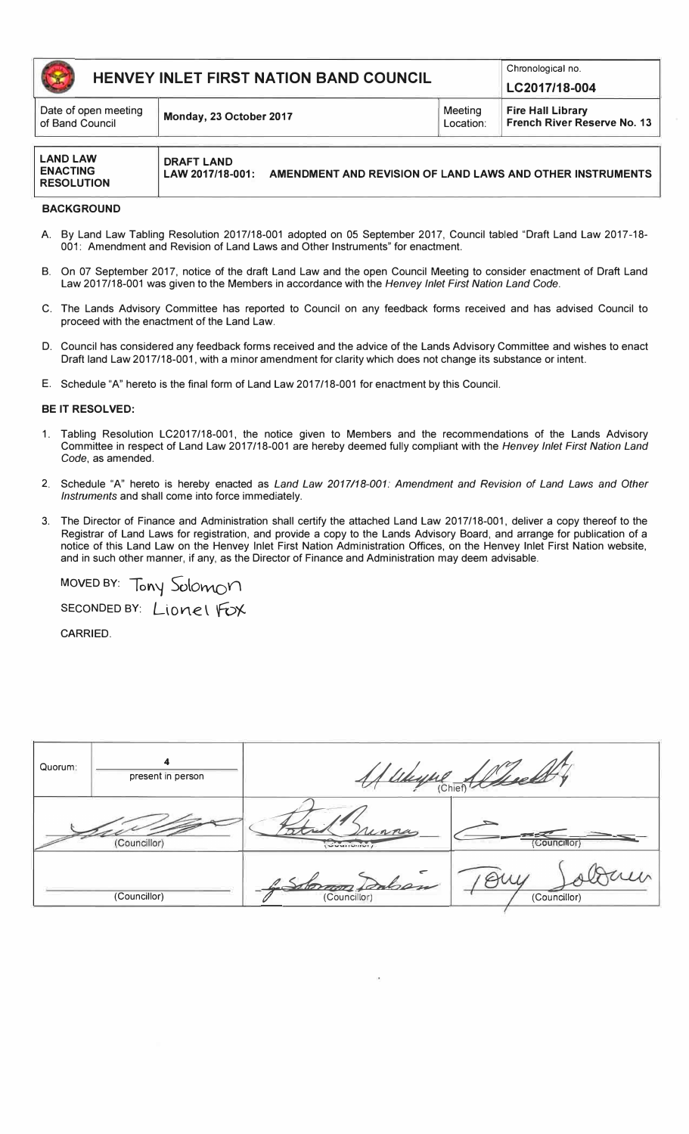|                      | <b>HENVEY INLET FIRST NATION BAND COUNCIL</b> |           | Chronological no.<br>LC2017/18-004 |
|----------------------|-----------------------------------------------|-----------|------------------------------------|
| Date of open meeting | Monday, 23 October 2017                       | Meeting   | <b>Fire Hall Library</b>           |
| of Band Council      |                                               | Location: | <b>French River Reserve No. 13</b> |

**LAND LAW ENACTING RESOLUTION** 

**DRAFT LAND AMENDMENT AND REVISION OF LAND LAWS AND OTHER INSTRUMENTS** 

**BACKGROUND** 

- A. By Land Law Tabling Resolution 2017/18-001 adopted on 05 September 2017, Council tabled "Draft Land Law 2017-18- 001: Amendment and Revision of Land Laws and Other Instruments" for enactment.
- B. On 07 September 2017, notice of the draft Land Law and the open Council Meeting to consider enactment of Draft Land Law 2017118-001 was given to the Members in accordance with the *Henvey Inlet First Nation Land Code.*
- C. The Lands Advisory Committee has reported to Council on any feedback forms received and has advised Council to proceed with the enactment of the Land Law.
- D. Council has considered any feedback forms received and the advice of the Lands Advisory Committee and wishes to enact Draft land Law 2017/18-001, with a minor amendment for clarity which does not change its substance or intent.
- E. Schedule "A" hereto is the final form of Land Law 2017118-001 for enactment by this Council.

#### **BE IT RESOLVED:**

- 1. Tabling Resolution LC2017/18-001, the notice given to Members and the recommendations of the Lands Advisory Committee in respect of Land Law 2017118-001 are hereby deemed fully compliant with the *Henvey Inlet First Nation Land Code,* as amended.
- 2. Schedule "A" hereto is hereby enacted as *Land Law 2017/18-001: Amendment and Revision of Land Laws and Other Instruments* and shall come into force immediately.
- 3. The Director of Finance and Administration shall certify the attached Land Law 2017/18-001, deliver a copy thereof to the Registrar of Land Laws for registration, and provide a copy to the Lands Advisory Board, and arrange for publication of a notice of this Land Law on the Henvey Inlet First Nation Administration Offices, on the Henvey Inlet First Nation website, and in such other manner, if any, as the Director of Finance and Administration may deem advisable.

MOVED BY: Tony Solomon SECONDED BY: Lionel Fox **CARRIED.**

| Quorum: | present in person |                           | (Chief)      |
|---------|-------------------|---------------------------|--------------|
|         | (Councillor)      | unnas<br><b>COMMODIAN</b> | (Councillor) |
|         | (Councillor)      | Annon Dabon               | (Councillor) |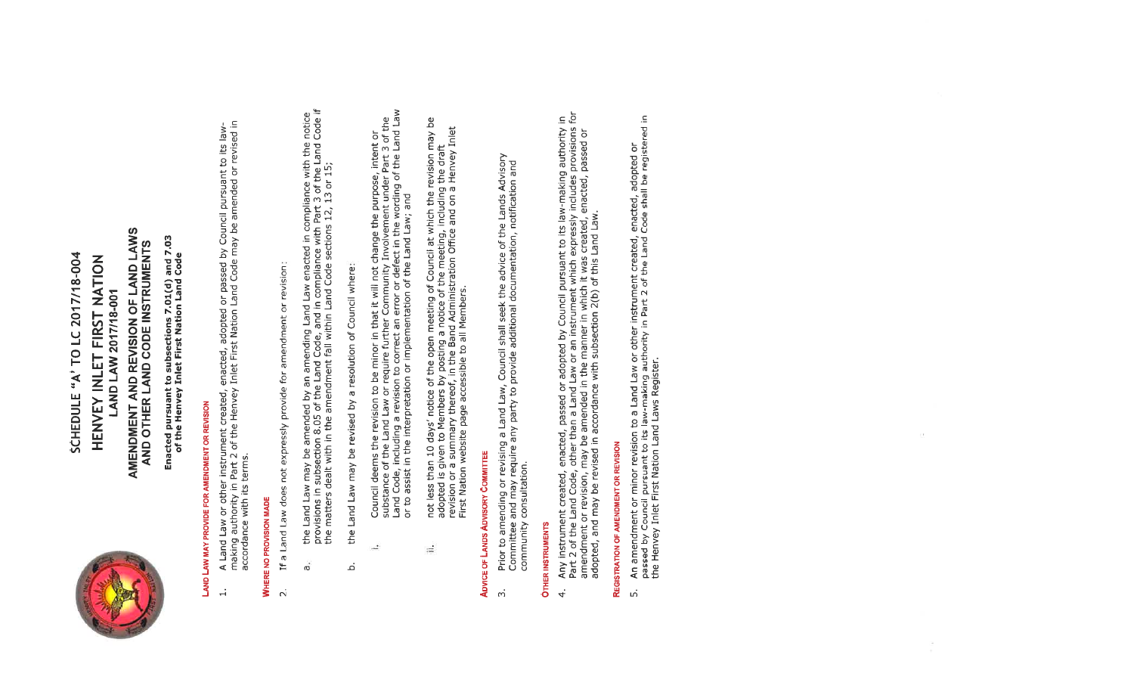

#### SCHEDULE "A' TO LC 2017/18-004 HENVEY INLET FIRST NATION **LAND LAW 2017/18-001**

### AMENDMENT AND REVISION OF LAND LAWS AND OTHER LAND CODE INSTRUMENTS

7.03 Enacted pursuant to subsections 7.01(d) and 7<br>of the Henvey Inlet First Nation Land Code

## **LAND LAW MAY PROVIDE FOR AMENDMENT OR REVISION**

A Land Law or other instrument created, enacted, adopted or passed by Council pursuant to its law-<br>making authority in Part 2 of the Henvey Inlet First Nation Land Code may be amended or revised in<br>accordance with its term  $\ddot{ }$ 

#### WHERE NO PROVISION MADE  $\overline{N}$

- If a Land Law does not expressly provide for amendment or revision;
- $\pm$ the Land Law may be amended by an amending Land Law enacted in compliance with the notice<br>provisions in subsection 8.05 of the Land Code, and in compliance with Part 3 of the Land Code if<br>the matters dealt with in the amen  $\dot{\vec{\sigma}}$
- the Land Law may be revised by a resolution of Council where: نم
- Council deems the revision to be minor in that it will not change the purpose, intent or<br>substance of the Land Law or require further Community Involvement under Part 3 of the<br>Land Code, including a revision to correct an  $\frac{1}{2}$
- not less than 10 days' notice of the open meeting of Council at which the revision may be<br>adopted is given to Members by posting a notice of the meeting, including the draft<br>revision or a summary thereof, in the Band Admin i.

## **ADVICE OF LANDS ADVISORY COMMITTEE**

Prior to amending or revising a Land Law, Council shall seek the advice of the Lands Advisory<br>Committee and may require any party to provide additional documentation, notification and<br>community consultation.  $\dot{\mathsf{m}}$ 

#### **OTHER INSTRUMENTS**

Any instrument created, enacted, passed or adopted by Council pursuant to its law-making authority in<br>Part 2 of the Land Code, other than a Land Law or an instrument which expressly includes provisions for<br>amendment or rev 4.

## REGISTRATION OF AMENDMENT OR REVISION

G.

An amendment or minor revision to a Land Law or other instrument created, enacted, adopted or<br>passed by Council pursuant to its law-making authority in Part 2 of the Land Code shall be registered in<br>the Henvey Inlet First  $\vec{b}$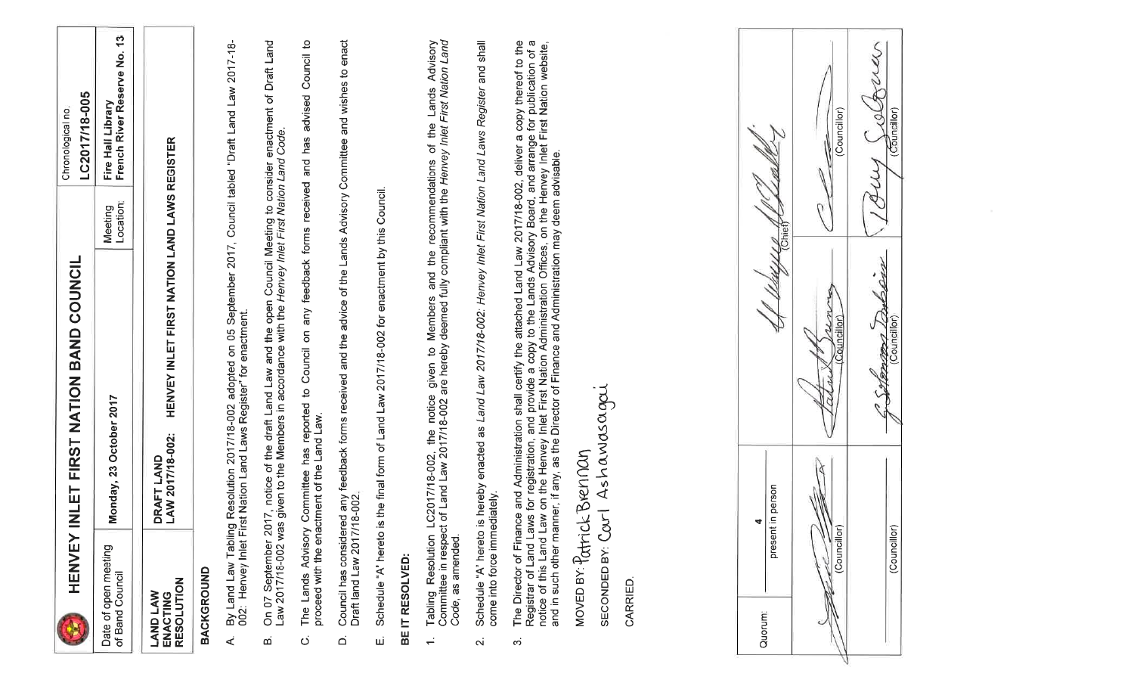| HENVEY                                                                   | NATION BAND COUNCIL<br><b>FIRST</b><br><b>INLET</b>                                                                                                                                                                                                                                                                                                                                                                                    |                     | LC2017/18-005<br>Chronological no                                 |  |
|--------------------------------------------------------------------------|----------------------------------------------------------------------------------------------------------------------------------------------------------------------------------------------------------------------------------------------------------------------------------------------------------------------------------------------------------------------------------------------------------------------------------------|---------------------|-------------------------------------------------------------------|--|
| Date of open meeting<br>of Band Council                                  | Monday, 23 October 2017                                                                                                                                                                                                                                                                                                                                                                                                                | Meeting<br>Location | $\frac{3}{2}$<br>French River Reserve No.<br>Library<br>Fire Hall |  |
| LAND LAW<br>ENACTING<br>RESOLUTION                                       | <b>HENVEY INLET FIRST NATION LAND LAWS REGISTER</b><br>LAW 2017/18-002:<br>DRAFT LAND                                                                                                                                                                                                                                                                                                                                                  |                     |                                                                   |  |
| <b>BACKGROUND</b>                                                        |                                                                                                                                                                                                                                                                                                                                                                                                                                        |                     |                                                                   |  |
| <                                                                        | By Land Law Tabling Resolution 2017/18-002 adopted on 05 September 2017, Council tabled "Draft Land Law 2017-18-<br>002: Henvey Inlet First Nation Land Laws Register" for enactment.                                                                                                                                                                                                                                                  |                     |                                                                   |  |
| ΔÓ                                                                       | On 07 September 2017, notice of the draft Land Law and the open Council Meeting to consider enactment of Draft Land<br>Law 2017/18-002 was given to the Members in accordance with the Henvey Inlet First Nation Land Code.                                                                                                                                                                                                            |                     |                                                                   |  |
| $\ddot{\circ}$                                                           | The Lands Advisory Committee has reported to Council on any feedback forms received and has<br>proceed with the enactment of the Land Law.                                                                                                                                                                                                                                                                                             |                     | <u>م</u><br>Council<br>advised                                    |  |
| $\overrightarrow{a}$                                                     | Council has considered any feedback forms received and the advice of the Lands Advisory Committee and wishes to enact<br>Draft land Law 2017/18-002                                                                                                                                                                                                                                                                                    |                     |                                                                   |  |
| Schedule "A" hereto<br>щ                                                 | is the final form of Land Law 2017/18-002 for enactment by this Council.                                                                                                                                                                                                                                                                                                                                                               |                     |                                                                   |  |
| BE IT RESOLVED:                                                          |                                                                                                                                                                                                                                                                                                                                                                                                                                        |                     |                                                                   |  |
| Tabling Resolution<br>Committee in respec<br>Code, as amended.<br>$\div$ | LC2017/18-002, the notice given to Members and the recommendations of the Lands Advisory<br>ct of Land Law 2017/18-002 are hereby deemed fully compliant with the Henvey Inlet First Nation Land                                                                                                                                                                                                                                       |                     |                                                                   |  |
| come into force immediately.<br>$\overline{\mathcal{N}}$                 | Schedule "A" hereto is hereby enacted as Land Law 2017/18-002: Henvey Inlet First Nation Land Laws Register and shall                                                                                                                                                                                                                                                                                                                  |                     |                                                                   |  |
| $\sim$                                                                   | Registrar of Land Laws for registration, and provide a copy to the Lands Advisory Board, and arrange for publication of a<br>notice of this Land Law on the Henvey Inlet First Nation Administration Offices, on the Henvey Inlet<br>and in such other manner, if any, as the Director of Finance and Administration may deem advisable<br>The Director of Finance and Administration shall certify the attached Land Law 2017/18-002, |                     | deliver a copy thereof to the                                     |  |
| MOVED BY: Patrick Brennan                                                | SECONDED BY: COUT Ashawasagai                                                                                                                                                                                                                                                                                                                                                                                                          |                     |                                                                   |  |
| CARRIED                                                                  |                                                                                                                                                                                                                                                                                                                                                                                                                                        |                     |                                                                   |  |
|                                                                          |                                                                                                                                                                                                                                                                                                                                                                                                                                        |                     |                                                                   |  |
| Quorum:                                                                  | present in person<br>4                                                                                                                                                                                                                                                                                                                                                                                                                 |                     |                                                                   |  |
| (Councillo                                                               | Councillor)                                                                                                                                                                                                                                                                                                                                                                                                                            |                     | (Councillor)                                                      |  |
| (Councillor)                                                             | ouncillor                                                                                                                                                                                                                                                                                                                                                                                                                              |                     | incillor)<br>9                                                    |  |
|                                                                          |                                                                                                                                                                                                                                                                                                                                                                                                                                        |                     |                                                                   |  |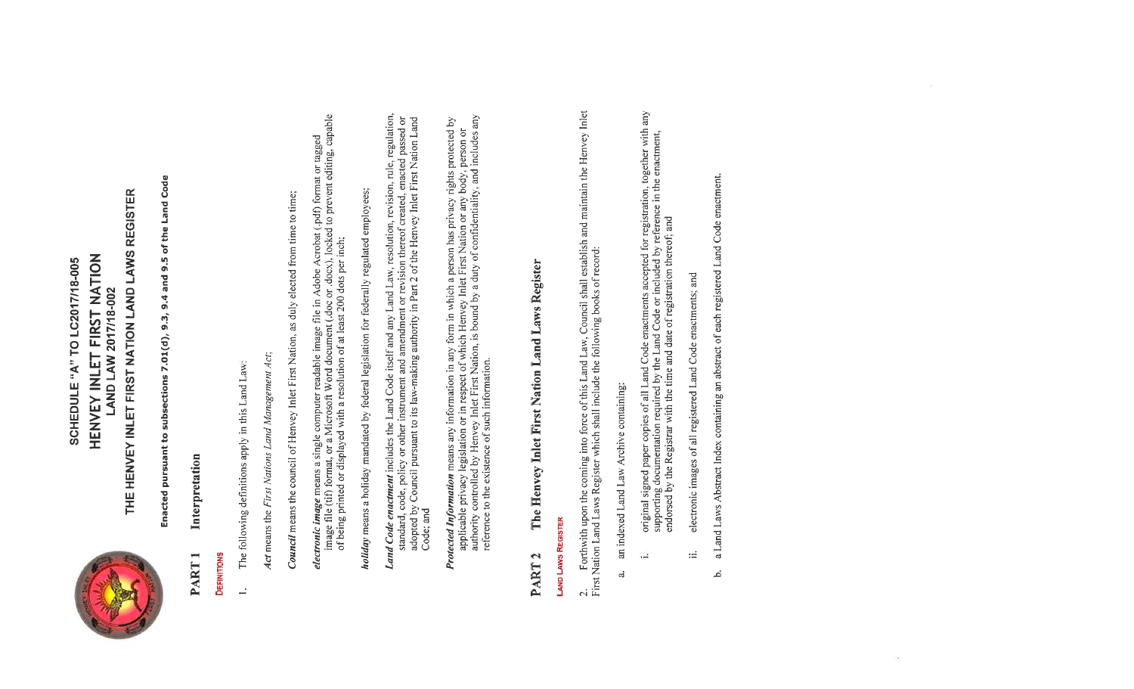

#### THE HENVEY INLET FIRST NATION LAND LAWS REGISTER HENVEY INLET FIRST NATION SCHEDULE "A" TO LC2017/18-005 LAND LAW 2017/18-002

# Enacted pursuant to subsections 7.01(d), 9.3, 9.4 and 9.5 of the Land Code

#### Interpretation PART<sub>1</sub>

#### **DEFINITIONS**

The following definitions apply in this Land Law  $\overline{a}$ 

Act means the First Nations Land Management Act;

Council means the council of Henvey Inlet First Nation, as duly elected from time to time;

electronic image means a single computer readable image file in Adobe Acrobat (.pdf) format or tagged<br>image file (tif) format, or a Microsoft Word document (.doc or .docx), locked to prevent editing, capable of being printed or displayed with a resolution of at least 200 dots per inch;

holiday means a holiday mandated by federal legislation for federally regulated employees;

- **Land Code enactment** includes the Land Code itself and any Land Law, resolution, revision, rule, regulation, standard, code, policy or other instrument and amendment or revision thereof created, enacted passed or adopted Code; and
- **Protected Information** means any information in any form in which a person has privacy rights protected by applicable privacy legislation or in respect of which Henvey Inlet First Nation or any body, person or authority c

## The Henvey Inlet First Nation Land Laws Register PART<sub>2</sub>

#### **LAND LAWS REGISTER**

2. Forthwith upon the coming into force of this Land Law, Council shall establish and maintain the Henvey Inlet<br>First Nation Land Laws Register which shall include the following books of record:

- an indexed Land Law Archive containing: d.
- original signed paper copies of all Land Code enactments accepted for registration, together with any supporting documentation required by the Land Code or included by reference in the enactment, endorsed by the Registrar νŽ
- electronic images of all registered Land Code enactments; and  $:\equiv$
- a Land Laws Abstract Index containing an abstract of each registered Land Code enactment. نم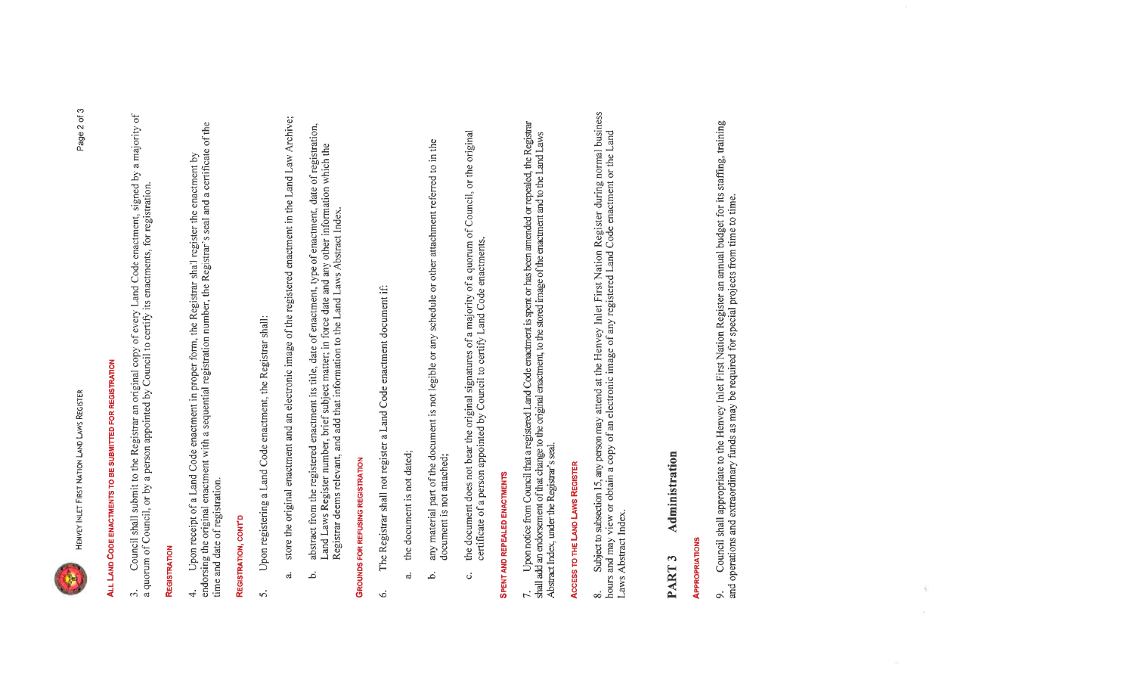

## ALL LAND CODE ENACTMENTS TO BE SUBMITTED FOR REGISTRATION

3. Council shall submit to the Registrar an original copy of every Land Code enactment, signed by a majority of a quorum of Council, or by a person appointed by Council to certify its enactments, for registration.

#### **REGISTRATION**

4. Upon receipt of a Land Code enactment in proper form, the Registrar shall register the enactment by<br>endorsing the original enactment with a sequential registration number, the Registrar's seal and a certificate of the<br>t

#### REGISTRATION, CONT'D

- Upon registering a Land Code enactment, the Registrar shall: ക്
- store the original enactment and an electronic image of the registered enactment in the Land Law Archive; d
- abstract from the registered enactment its title, date of enactment, type of enactment, date of registration, Land Laws Register number, brief subject matter; in force date and any other information which the Registrar dee نم

## **GROUNDS FOR REFUSING REGISTRATION**

- The Registrar shall not register a Land Code enactment document if:  $\acute{\circ}$
- the document is not dated;  $\vec{a}$
- any material part of the document is not legible or any schedule or other attachment referred to in the<br>document is not attached; خ
- the document does not bear the original signatures of a majority of a quorum of Council, or the original certificate of a person appointed by Council to certify Land Code enactments.  $\ddot{\circ}$

### SPENT AND REPEALED ENACTMENTS

7. Upon notice from Council that a registered Land Code enactment is spent or has been amended or repealed, the Registrar<br>shall add an endorsement of that change to the original enactment, to the stored image of the enactm

## ACCESS TO THE LAND LAWS REGISTER

8. Subject to subsection 15, any person may attend at the Henvey Inlet First Nation Register during normal business hours and may view or obtain a copy of an electronic image of any registered Land Code enactment or the La

#### Administration PART<sub>3</sub>

#### **APPROPRIATIONS**

9. Council shall appropriate to the Henvey Inlet First Nation Register an annual budget for its staffing, training<br>and operations and extraordinary funds as may be required for special projects from time to time.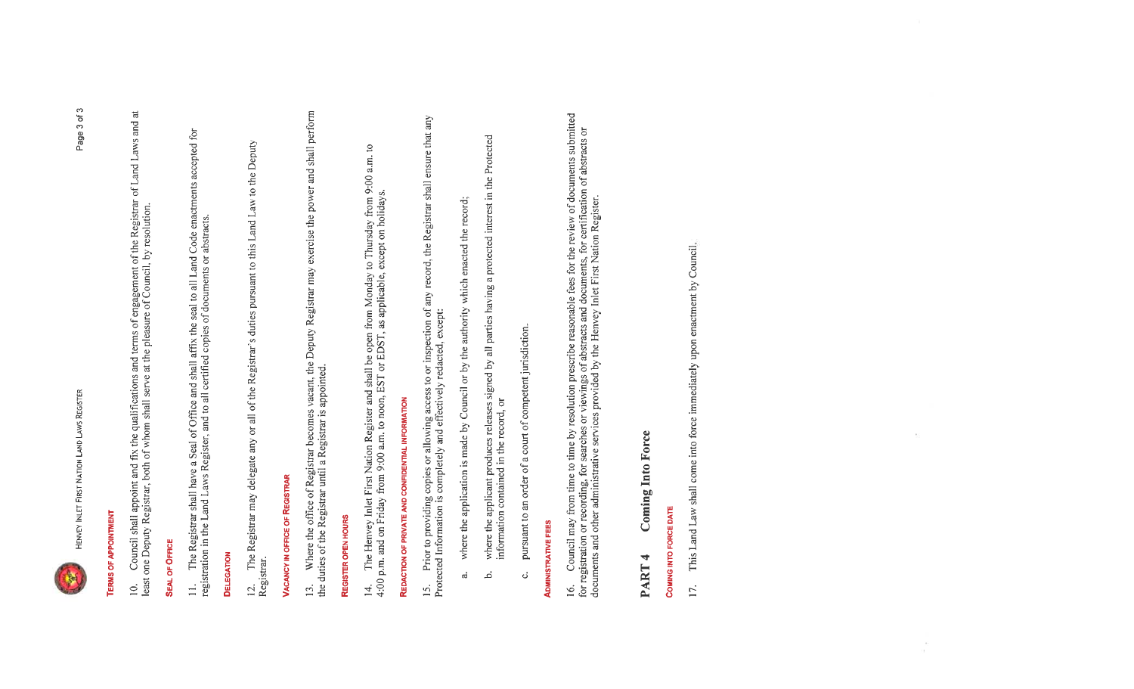



#### **TERMS OF APPOINTMENT**

 $\vec{a}$ 10. Council shall appoint and fix the qualifications and terms of engagement of the Registrar of Land Laws and least one Deputy Registrar, both of whom shall serve at the pleasure of Council, by resolution.

#### SEAL OF OFFICE

11. The Registrar shall have a Seal of Office and shall affix the seal to all Land Code enactments accepted for<br>registration in the Land Laws Register, and to all certified copies of documents or abstracts.

#### **DELEGATION**

The Registrar may delegate any or all of the Registrar's duties pursuant to this Land Law to the Deputy Registrar. 12.

### **VACANCY IN OFFICE OF REGISTRAR**

13. Where the office of Registrar becomes vacant, the Deputy Registrar may exercise the power and shall perform<br>the duties of the Registrar until a Registrar is appointed.

#### REGISTER OPEN HOURS

14. The Henvey Inlet First Nation Register and shall be open from Monday to Thursday from 9:00 a.m. to 4:00 p.m. and on Friday from 9:00 a.m. to noon, EST or EDST, as applicable, except on holidays.

## REDACTION OF PRIVATE AND CONFIDENTIAL INFORMATION

15. Prior to providing copies or allowing access to or inspection of any record, the Registrar shall ensure that any<br>Protected Information is completely and effectively redacted, except:

- where the application is made by Council or by the authority which enacted the record; đ
- where the applicant produces releases signed by all parties having a protected interest in the Protected<br>information contained in the record, or .<br>ف
- pursuant to an order of a court of competent jurisdiction.  $\vec{\mathbf{o}}$

#### **ADMINISTRATIVE FEES**

16. Council may from time to time by resolution prescribe reasonable fees for the review of documents submitted<br>for registration or recording, for searches or viewings of abstracts and documents, for certification of abstr

#### **Coming Into Force** PART4

#### COMING INTO FORCE DATE

Ă

This Land Law shall come into force immediately upon enactment by Council. 17.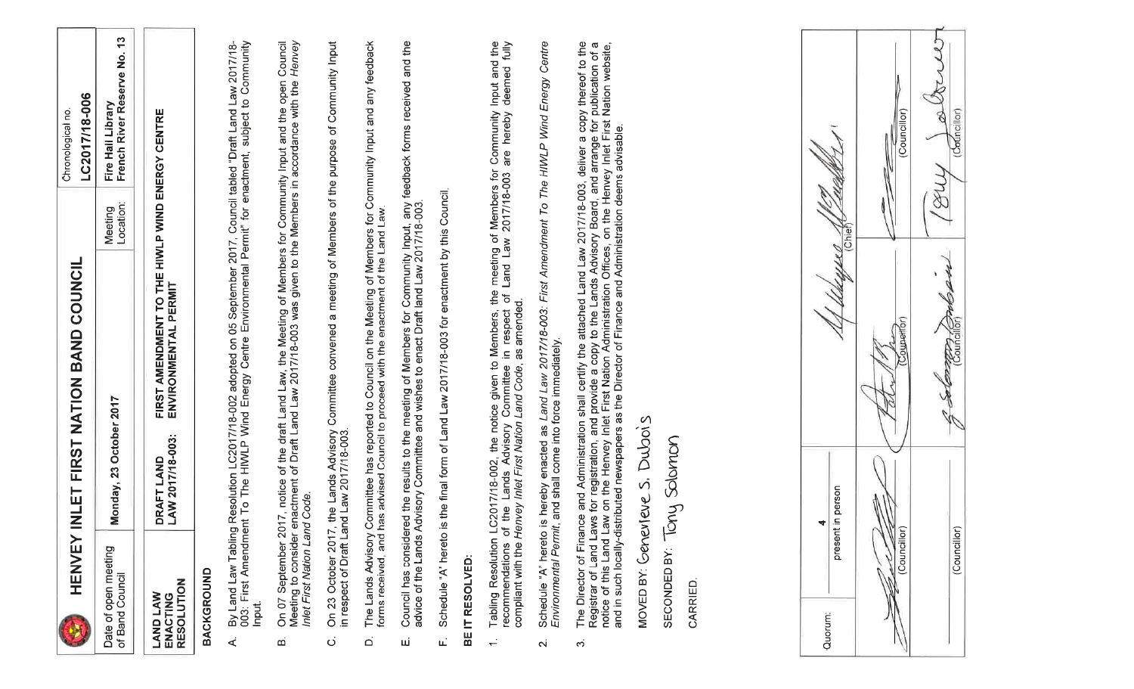| HENVEY                                    | COUNCIL<br>BAND<br>NATION<br><b>FIRST</b><br>NLET                                                                                                                                                                                    |                      | LC2017/18-006<br>Chronological no                                              |
|-------------------------------------------|--------------------------------------------------------------------------------------------------------------------------------------------------------------------------------------------------------------------------------------|----------------------|--------------------------------------------------------------------------------|
| Date of open meeting<br>of Band Council   | Monday, 23 October 2017                                                                                                                                                                                                              | Meeting<br>Locationt | w<br>$\overline{\phantom{0}}$<br>Fire Hall Library<br>French River Reserve No. |
| ENACTING<br>RESOLUTION<br><b>LAND LAW</b> | FIRST AMENDMENT TO TH<br>ENVIRONMENTAL PERMIT<br>LAW 2017/18-003:<br>DRAFT LAND                                                                                                                                                      | THE HIWLP WIND       | ENERGY CENTRE                                                                  |
| <b>BACKGROUND</b>                         |                                                                                                                                                                                                                                      |                      |                                                                                |
| Input.<br>خ                               | By Land Law Tabling Resolution LC2017/18-002 adopted on 05 September 2017, Council tabled "Draft Land Law 2017/18-<br>003: First Amendment To The HIWLP Wind Energy Centre Environmental Permit" for enactment, subject to Commun    |                      |                                                                                |
| Inlet First Nation Land Code<br>മ         | On 07 September 2017, notice of the draft Land Law, the Meeting of Members for Community Input and the open Council<br>Meeting to consider enactment of Draft Land Law 2017/18-003 was given to the Members in accordance with th    |                      |                                                                                |
| $\vec{\circ}$                             | On 23 October 2017, the Lands Advisory Committee convened a meeting of Members of the purpose of Community Input<br>in respect of Draft Land Law 2017/18-003.                                                                        |                      |                                                                                |
| $\dot{\mathbf{C}}$                        | The Lands Advisory Committee has reported to Council on the Meeting of Members for Community Input and any feedback<br>forms received, and has advised Council to proceed with the enactment of the Land Law.                        |                      |                                                                                |
| щi                                        | Council has considered the results to the meeting of Members for Community Input, any<br>advice of the Lands Advisory Committee and wishes to enact Draft land Law 2017/18-003.                                                      |                      | and the<br>feedback forms received                                             |
| $\vec{\mathbf{L}}$                        | Schedule "A" hereto is the final form of Land Law 2017/18-003 for enactment by this Council.                                                                                                                                         |                      |                                                                                |
| BE IT RESOLVED:                           |                                                                                                                                                                                                                                      |                      |                                                                                |
| $\div$                                    | Tabling Resolution LC2017/18-002, the notice given to Members, the meeting of Members for Community Input and the<br>recommendations of the Lands Advisory Committee in respect of Land Law 2017/18-003 are hereby deemed fully<br>c |                      |                                                                                |
| $\overline{\mathsf{N}}$                   | Schedule "A" hereto is hereby enacted as Land Law 2017/18-003: First Amendment To The HIWLP Wind Energy Centre<br>Environmental Permit, and shall come into force immediately.                                                       |                      |                                                                                |
| က                                         | The Director of Finance and Administration shall certify the attached Land Law 2017/18-003, deliver a copy thereof to the<br>Registrar of Land Laws for registration, and provide a copy to the Lands Advisory Board, and arrange    |                      |                                                                                |
| SECONDED BY:                              | $\mathcal{O}$<br>MOVED BY: Genevieve S. Duboi<br>Tony Solomon                                                                                                                                                                        |                      |                                                                                |
| CARRIED                                   |                                                                                                                                                                                                                                      |                      |                                                                                |
| present<br>Quorum;                        | in person<br>4                                                                                                                                                                                                                       | (Chief               |                                                                                |
| (Councillor)                              | $\frac{1}{2}$                                                                                                                                                                                                                        |                      | (Councillor)                                                                   |
| (Councillor)                              | <b>PERPAGE</b>                                                                                                                                                                                                                       |                      | 19<br>(Corúncillor)<br>Í                                                       |
|                                           |                                                                                                                                                                                                                                      |                      |                                                                                |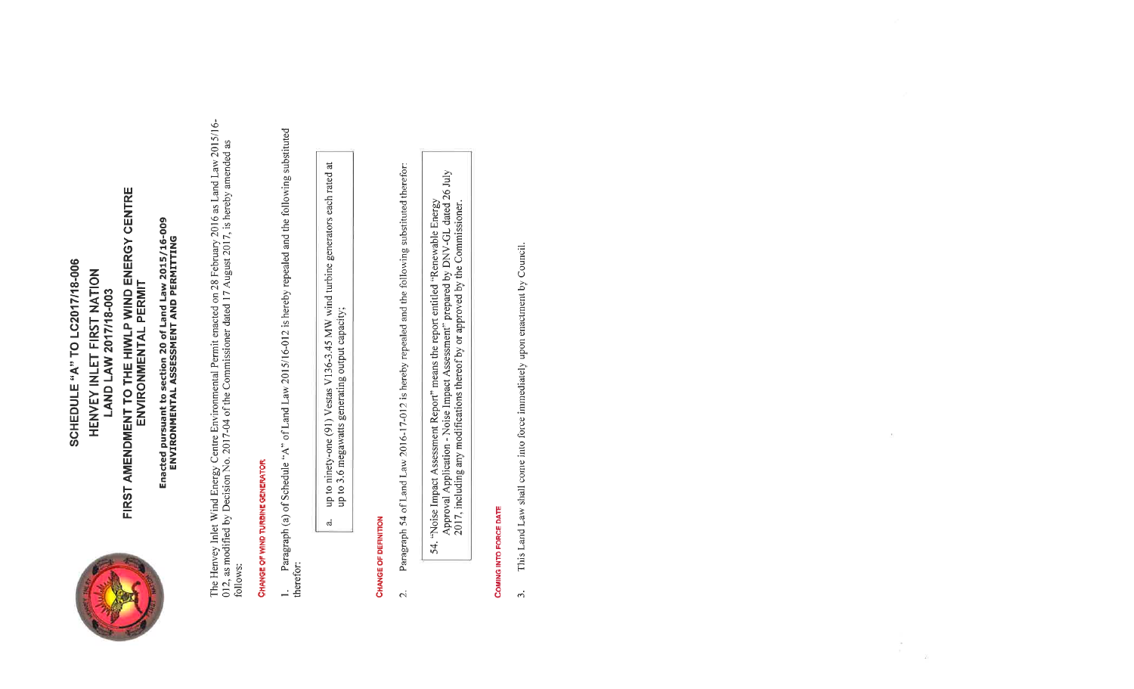

#### FIRST AMENDMENT TO THE HIWLP WIND ENERGY CENTRE<br>ENVIRONMENTAL PERMIT SCHEDULE "A" TO LC2017/18-006 HENVEY INLET FIRST NATION LAND LAW 2017/18-003

Enacted pursuant to section 20 of Land Law 2015/16-009<br>ENVIRONMENTAL ASSESSMENT AND PERMITTING

The Henvey Inlet Wind Energy Centre Environmental Permit enacted on 28 February 2016 as Land Law 2015/16-012, as modified by Decision No. 2017-04 of the Commissioner dated 17 August 2017, is hereby amended as follows:

## CHANGE OF WIND TURBINE GENERATOR

Paragraph (a) of Schedule "A" of Land Law 2015/16-012 is hereby repealed and the following substituted 1. Para<br>therefor:

up to ninety-one (91) Vestas V136-3.45 MW wind turbine generators each rated at up to 3.6 megawatts generating output capacity;  $\mathbf{a}$ 

#### **CHANGE OF DEFINITION**

 $\overrightarrow{C}$ 

Paragraph 54 of Land Law 2016-17-012 is hereby repealed and the following substituted therefor:

54. "Noise Impact Assessment Report" means the report entitled "Renewable Energy<br>Approval Application - Noise Impact Assessment" prepared by DNV-GL dated 26 July<br>2017, including any modifications thereof by or approved by

#### **COMING INTO FORCE DATE**

÷.

 $\widetilde{\mathcal{D}}$ 

This Land Law shall come into force immediately upon enactment by Council.  $\ddot{\mathcal{E}}$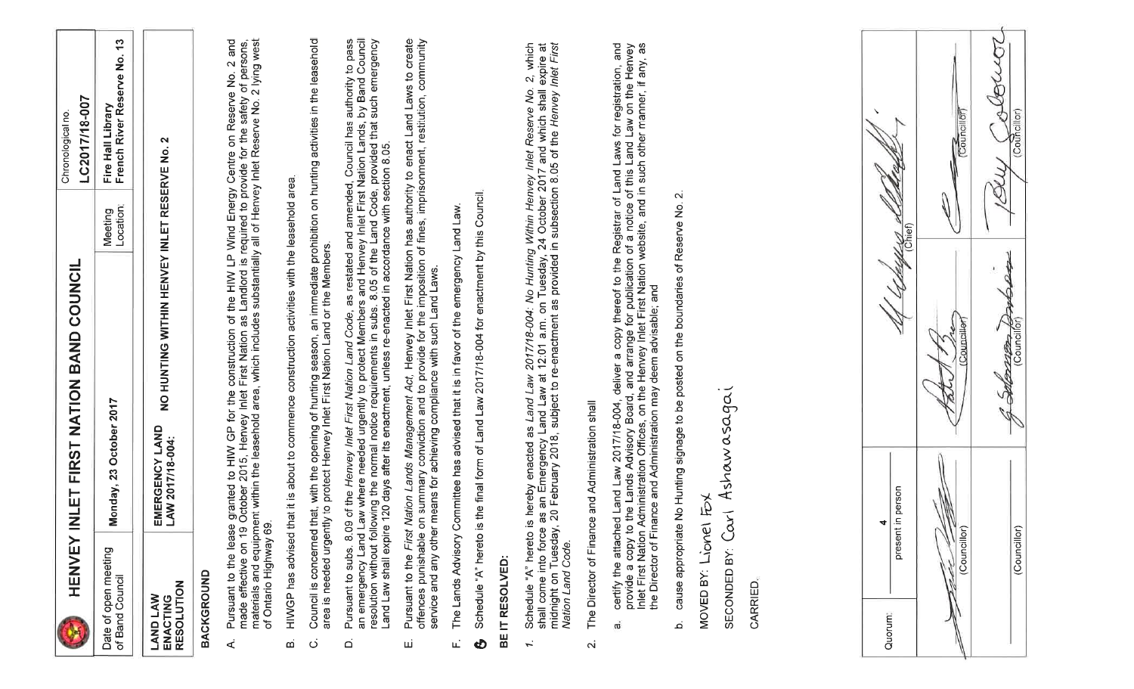|                         | <b>HENVEY</b>                                    | <b>FIRST</b><br><b>INLET</b>              | <b>COUNCIL</b><br>NATION BAND                                                                                                                                                                                                                                                          |                     | LC2017/18-007<br>Chronological no                                         |
|-------------------------|--------------------------------------------------|-------------------------------------------|----------------------------------------------------------------------------------------------------------------------------------------------------------------------------------------------------------------------------------------------------------------------------------------|---------------------|---------------------------------------------------------------------------|
|                         | Date of open meeting<br>of Band Council          | Monday, 23                                | October 2017                                                                                                                                                                                                                                                                           | Location<br>Meeting | $\overline{\phantom{0}}$<br>French River Reserve No.<br>Fire Hall Library |
|                         | RESOLUTION<br>LAND LAW<br>ENACTING               | <b>EMERGENCY LAN<br/>LAW 2017/18-004:</b> | <b>HUNTING WITHIN HENVEY INLET RESERVE</b><br>$\overline{\mathbf{z}}$<br><b>QNA</b>                                                                                                                                                                                                    |                     | N<br>。<br>N                                                               |
|                         | <b>BACKGROUND</b>                                |                                           |                                                                                                                                                                                                                                                                                        |                     |                                                                           |
| ∢                       | of Ontario Highway 69                            |                                           | Pursuant to the lease granted to HIW GP for the construction of the HIW LP Wind Energy Centre on Reserve No. 2 and<br>made effective on 19 October 2015, Henvey Inlet First Nation as Landlord is required to provide for the saf                                                      |                     |                                                                           |
| ∞                       |                                                  |                                           | HIWGP has advised that it is about to commence construction activities with the leasehold area.                                                                                                                                                                                        |                     |                                                                           |
| $\circ$                 |                                                  |                                           | Council is concerned that, with the opening of hunting season, an immediate prohibition on hunting activities in the leasehold<br>area is needed urgently to protect Henvey Inlet First Nation Land or the Members.                                                                    |                     |                                                                           |
| $\overline{\mathsf{d}}$ |                                                  |                                           | Pursuant to subs. 8.09 of the <i>Henvey Inlet First Nation Land Code</i> , as restated and amended, Council has authority to pass<br>an emergency Land Law where needed urgently to protect Members and Henvey Inlet First Nation Lands                                                |                     | by Band Council                                                           |
| ш                       |                                                  |                                           | Pursuant to the First Nation Lands Management Act, Henvey Inlet First Nation has authority to enact Land Laws to create<br>offences punishable on summary conviction and to provide for the imposition of fines, imprisonment, re                                                      |                     |                                                                           |
| щ,                      | The Lands Advisor                                |                                           | y Committee has advised that it is in favor of the emergency Land Law                                                                                                                                                                                                                  |                     |                                                                           |
| $\bullet$               | Schedule "A" heret                               |                                           | o is the final form of Land Law 2017/18-004 for enactment by this Council                                                                                                                                                                                                              |                     |                                                                           |
|                         | BE IT RESOLVED:                                  |                                           |                                                                                                                                                                                                                                                                                        |                     |                                                                           |
| Ĩ.                      | Nation Land Code.                                |                                           | Schedule "A" hereto is hereby enacted as Land Law 2017/18-004: No Hunting Within Henvey Inlet Reserve No. 2, which<br>shall come into force as an Emergency Land Law at 12:01 a.m. on Tuesday, 24 October 2017 and which shall ex                                                      |                     |                                                                           |
| $\sim$                  | The Director of Finance and Administration shall |                                           |                                                                                                                                                                                                                                                                                        |                     |                                                                           |
|                         | the Director of<br>ω,                            |                                           | certify the attached Land Law 2017/18-004, deliver a copy thereof to the Registrar of Land Laws for registration, and<br>provide a copy to the Lands Advisory Board, and arrange for publication of a notice of this Land Law on<br>Finance and Administration may deem advisable; and |                     |                                                                           |
|                         | .<br>ف                                           |                                           | cause appropriate No Hunting signage to be posted on the boundaries of Reserve No.                                                                                                                                                                                                     | $\mathbf 2$         |                                                                           |
|                         | MOVED BY: Lionel Fox<br>SECONDED BY:             | Ashawasag<br>Carl                         | ර                                                                                                                                                                                                                                                                                      |                     |                                                                           |
|                         | CARRIED                                          |                                           |                                                                                                                                                                                                                                                                                        |                     |                                                                           |
|                         |                                                  |                                           |                                                                                                                                                                                                                                                                                        |                     |                                                                           |
|                         | Quorum                                           | present in person                         |                                                                                                                                                                                                                                                                                        |                     |                                                                           |
|                         | (Council                                         | Ιor)                                      | Counciller                                                                                                                                                                                                                                                                             |                     | Councillor                                                                |
|                         | (Councillor)                                     |                                           | Conneller)<br>Conneller)                                                                                                                                                                                                                                                               |                     | Z<br>(Councillor)<br>Ø                                                    |
|                         |                                                  |                                           |                                                                                                                                                                                                                                                                                        |                     |                                                                           |